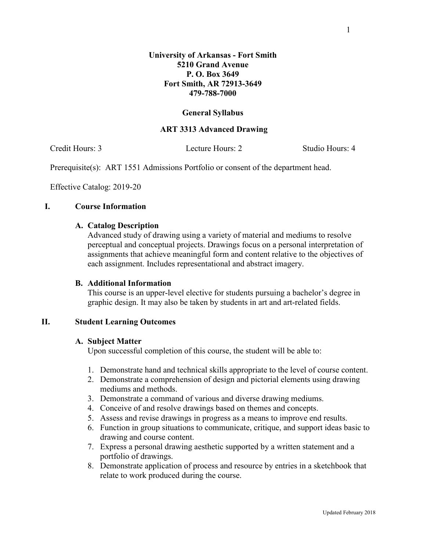### **General Syllabus**

### **ART 3313 Advanced Drawing**

Credit Hours: 3 Lecture Hours: 2 Studio Hours: 4

Prerequisite(s): ART 1551 Admissions Portfolio or consent of the department head.

Effective Catalog: 2019-20

## **I. Course Information**

## **A. Catalog Description**

Advanced study of drawing using a variety of material and mediums to resolve perceptual and conceptual projects. Drawings focus on a personal interpretation of assignments that achieve meaningful form and content relative to the objectives of each assignment. Includes representational and abstract imagery.

# **B. Additional Information**

This course is an upper-level elective for students pursuing a bachelor's degree in graphic design. It may also be taken by students in art and art-related fields.

# **II. Student Learning Outcomes**

#### **A. Subject Matter**

Upon successful completion of this course, the student will be able to:

- 1. Demonstrate hand and technical skills appropriate to the level of course content.
- 2. Demonstrate a comprehension of design and pictorial elements using drawing mediums and methods.
- 3. Demonstrate a command of various and diverse drawing mediums.
- 4. Conceive of and resolve drawings based on themes and concepts.
- 5. Assess and revise drawings in progress as a means to improve end results.
- 6. Function in group situations to communicate, critique, and support ideas basic to drawing and course content.
- 7. Express a personal drawing aesthetic supported by a written statement and a portfolio of drawings.
- 8. Demonstrate application of process and resource by entries in a sketchbook that relate to work produced during the course.